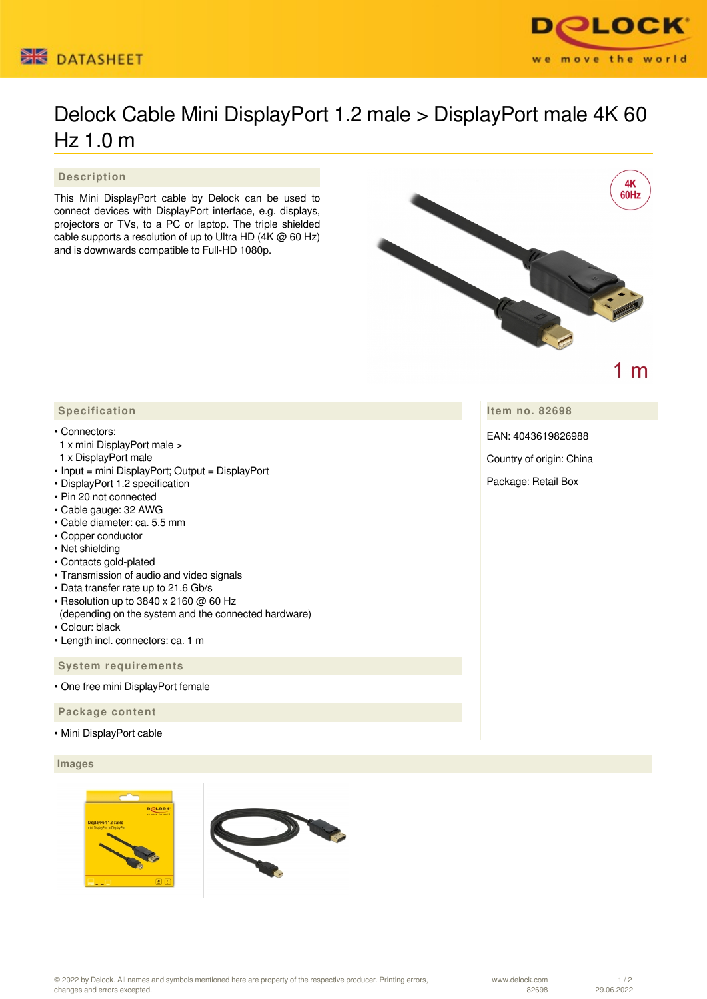



# Delock Cable Mini DisplayPort 1.2 male > DisplayPort male 4K 60 Hz 1.0 m

 **Description**

This Mini DisplayPort cable by Delock can be used to connect devices with DisplayPort interface, e.g. displays, projectors or TVs, to a PC or laptop. The triple shielded cable supports a resolution of up to Ultra HD (4K @ 60 Hz) and is downwards compatible to Full-HD 1080p.



1 m

## **Item no. 82698**

EAN: 4043619826988

Country of origin: China

Package: Retail Box

## **Specification**

#### • Connectors:

- 1 x mini DisplayPort male >
- 1 x DisplayPort male
- Input = mini DisplayPort; Output = DisplayPort
- DisplayPort 1.2 specification
- Pin 20 not connected
- Cable gauge: 32 AWG
- Cable diameter: ca. 5.5 mm
- Copper conductor
- Net shielding
- Contacts gold-plated
- Transmission of audio and video signals
- Data transfer rate up to 21.6 Gb/s
- Resolution up to 3840 x 2160 @ 60 Hz (depending on the system and the connected hardware)
- Colour: black
- Length incl. connectors: ca. 1 m

 **System requirements**

• One free mini DisplayPort female

 **Package content**

• Mini DisplayPort cable

#### **Images**